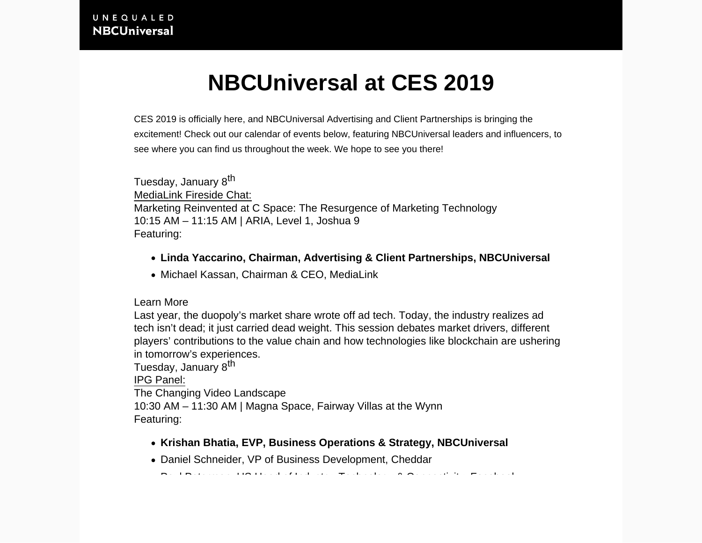## **NBCUniversal at CES 2019**

CES 2019 is officially here, and NBCUniversal Advertising and Client Partnerships is bringing the excitement! Check out our calendar of events below, featuring NBCUniversal leaders and influencers, to see where you can find us throughout the week. We hope to see you there!

Tuesday, January 8<sup>th</sup> MediaLink Fireside Chat: Marketing Reinvented at C Space: The Resurgence of Marketing Technology 10:15 AM – 11:15 AM | ARIA, Level 1, Joshua 9 Featuring:

- **Linda Yaccarino, Chairman, Advertising & Client Partnerships, NBCUniversal**
- Michael Kassan, Chairman & CEO, MediaLink

Learn More

Last year, the duopoly's market share wrote off ad tech. Today, the industry realizes ad tech isn't dead; it just carried dead weight. This session debates market drivers, different players' contributions to the value chain and how technologies like blockchain are ushering in tomorrow's experiences.

Tuesday, January 8<sup>th</sup>

IPG Panel:

The Changing Video Landscape 10:30 AM – 11:30 AM | Magna Space, Fairway Villas at the Wynn

Featuring:

- **Krishan Bhatia, EVP, Business Operations & Strategy, NBCUniversal**
- Daniel Schneider, VP of Business Development, Cheddar

Paul Peterman, US Head of Industry, Technology & Connectivity, Facebook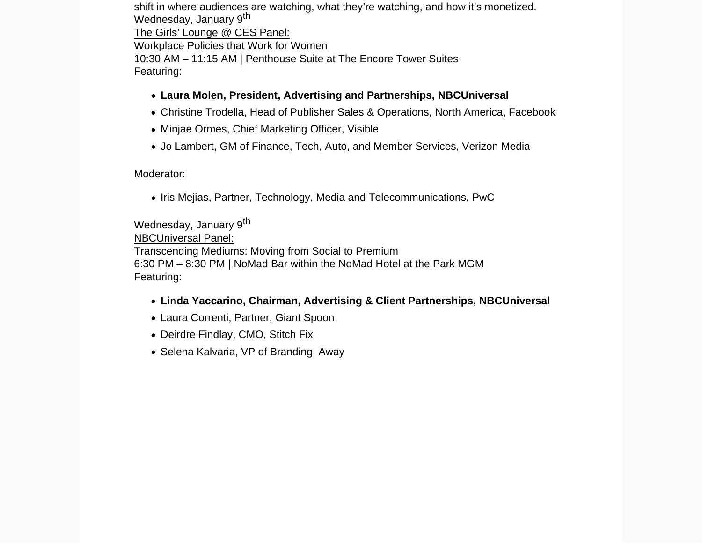shift in where audiences are watching, what they're watching, and how it's monetized. Wednesday, January 9<sup>th</sup> The Girls' Lounge @ CES Panel: Workplace Policies that Work for Women 10:30 AM – 11:15 AM | Penthouse Suite at The Encore Tower Suites Featuring:

- **Laura Molen, President, Advertising and Partnerships, NBCUniversal**
- Christine Trodella, Head of Publisher Sales & Operations, North America, Facebook
- Minjae Ormes, Chief Marketing Officer, Visible
- Jo Lambert, GM of Finance, Tech, Auto, and Member Services, Verizon Media

## Moderator:

• Iris Mejias, Partner, Technology, Media and Telecommunications, PwC

Wednesday, January 9<sup>th</sup> NBCUniversal Panel:

Transcending Mediums: Moving from Social to Premium 6:30 PM – 8:30 PM | NoMad Bar within the NoMad Hotel at the Park MGM Featuring:

- **Linda Yaccarino, Chairman, Advertising & Client Partnerships, NBCUniversal**
- Laura Correnti, Partner, Giant Spoon
- Deirdre Findlay, CMO, Stitch Fix
- Selena Kalvaria, VP of Branding, Away